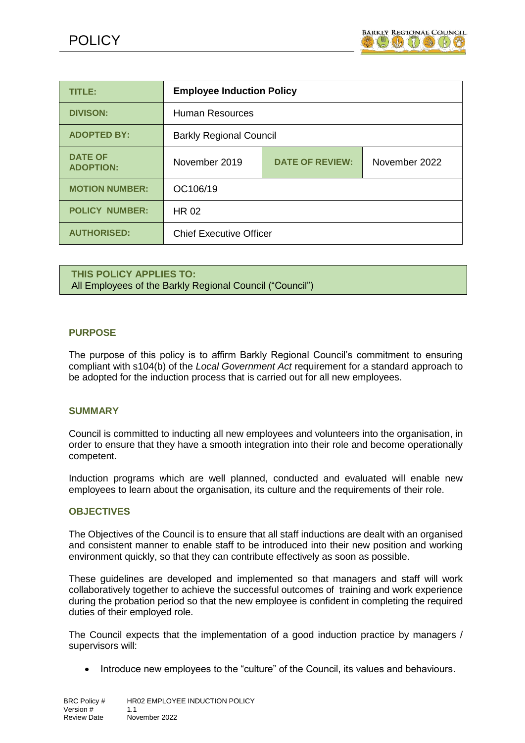

| <b>TITLE:</b>                      | <b>Employee Induction Policy</b> |                        |               |  |
|------------------------------------|----------------------------------|------------------------|---------------|--|
| <b>DIVISON:</b>                    | <b>Human Resources</b>           |                        |               |  |
| <b>ADOPTED BY:</b>                 | <b>Barkly Regional Council</b>   |                        |               |  |
| <b>DATE OF</b><br><b>ADOPTION:</b> | November 2019                    | <b>DATE OF REVIEW:</b> | November 2022 |  |
| <b>MOTION NUMBER:</b>              | OC106/19                         |                        |               |  |
| <b>POLICY NUMBER:</b>              | <b>HR 02</b>                     |                        |               |  |
| <b>AUTHORISED:</b>                 | <b>Chief Executive Officer</b>   |                        |               |  |

**THIS POLICY APPLIES TO:** All Employees of the Barkly Regional Council ("Council")

#### **PURPOSE**

The purpose of this policy is to affirm Barkly Regional Council's commitment to ensuring compliant with s104(b) of the *Local Government Act* requirement for a standard approach to be adopted for the induction process that is carried out for all new employees.

#### **SUMMARY**

Council is committed to inducting all new employees and volunteers into the organisation, in order to ensure that they have a smooth integration into their role and become operationally competent.

Induction programs which are well planned, conducted and evaluated will enable new employees to learn about the organisation, its culture and the requirements of their role.

#### **OBJECTIVES**

The Objectives of the Council is to ensure that all staff inductions are dealt with an organised and consistent manner to enable staff to be introduced into their new position and working environment quickly, so that they can contribute effectively as soon as possible.

These guidelines are developed and implemented so that managers and staff will work collaboratively together to achieve the successful outcomes of training and work experience during the probation period so that the new employee is confident in completing the required duties of their employed role.

The Council expects that the implementation of a good induction practice by managers / supervisors will:

Introduce new employees to the "culture" of the Council, its values and behaviours.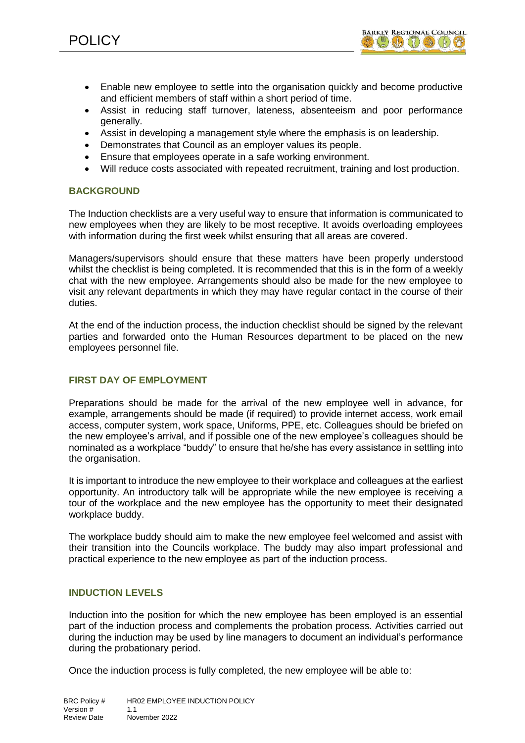

- Enable new employee to settle into the organisation quickly and become productive and efficient members of staff within a short period of time.
- Assist in reducing staff turnover, lateness, absenteeism and poor performance generally.
- Assist in developing a management style where the emphasis is on leadership.
- Demonstrates that Council as an employer values its people.
- Ensure that employees operate in a safe working environment.
- Will reduce costs associated with repeated recruitment, training and lost production.

#### **BACKGROUND**

The Induction checklists are a very useful way to ensure that information is communicated to new employees when they are likely to be most receptive. It avoids overloading employees with information during the first week whilst ensuring that all areas are covered.

Managers/supervisors should ensure that these matters have been properly understood whilst the checklist is being completed. It is recommended that this is in the form of a weekly chat with the new employee. Arrangements should also be made for the new employee to visit any relevant departments in which they may have regular contact in the course of their duties.

At the end of the induction process, the induction checklist should be signed by the relevant parties and forwarded onto the Human Resources department to be placed on the new employees personnel file.

## **FIRST DAY OF EMPLOYMENT**

Preparations should be made for the arrival of the new employee well in advance, for example, arrangements should be made (if required) to provide internet access, work email access, computer system, work space, Uniforms, PPE, etc. Colleagues should be briefed on the new employee's arrival, and if possible one of the new employee's colleagues should be nominated as a workplace "buddy" to ensure that he/she has every assistance in settling into the organisation.

It is important to introduce the new employee to their workplace and colleagues at the earliest opportunity. An introductory talk will be appropriate while the new employee is receiving a tour of the workplace and the new employee has the opportunity to meet their designated workplace buddy.

The workplace buddy should aim to make the new employee feel welcomed and assist with their transition into the Councils workplace. The buddy may also impart professional and practical experience to the new employee as part of the induction process.

#### **INDUCTION LEVELS**

Induction into the position for which the new employee has been employed is an essential part of the induction process and complements the probation process. Activities carried out during the induction may be used by line managers to document an individual's performance during the probationary period.

Once the induction process is fully completed, the new employee will be able to: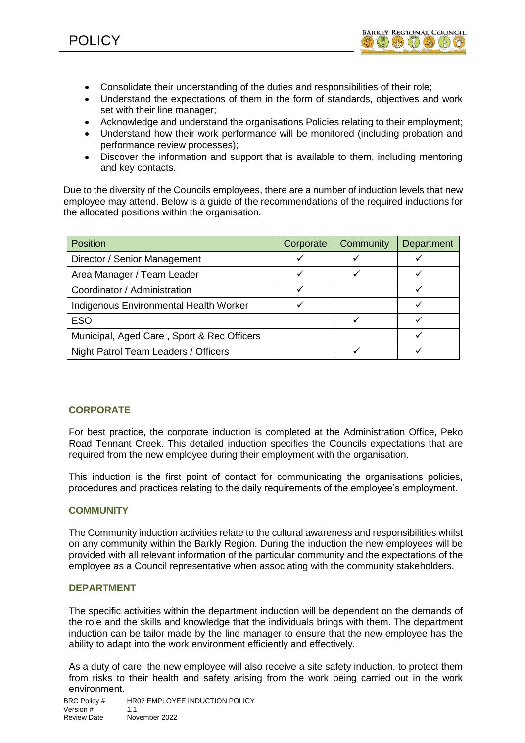

- Consolidate their understanding of the duties and responsibilities of their role;
- Understand the expectations of them in the form of standards, objectives and work set with their line manager;
- Acknowledge and understand the organisations Policies relating to their employment;
- Understand how their work performance will be monitored (including probation and performance review processes);
- Discover the information and support that is available to them, including mentoring and key contacts.

Due to the diversity of the Councils employees, there are a number of induction levels that new employee may attend. Below is a guide of the recommendations of the required inductions for the allocated positions within the organisation.

| <b>Position</b>                            | Corporate | Community | Department |
|--------------------------------------------|-----------|-----------|------------|
| Director / Senior Management               |           |           |            |
| Area Manager / Team Leader                 |           |           |            |
| Coordinator / Administration               |           |           |            |
| Indigenous Environmental Health Worker     |           |           |            |
| <b>ESO</b>                                 |           |           |            |
| Municipal, Aged Care, Sport & Rec Officers |           |           |            |
| Night Patrol Team Leaders / Officers       |           |           |            |

# **CORPORATE**

For best practice, the corporate induction is completed at the Administration Office, Peko Road Tennant Creek. This detailed induction specifies the Councils expectations that are required from the new employee during their employment with the organisation.

This induction is the first point of contact for communicating the organisations policies, procedures and practices relating to the daily requirements of the employee's employment.

## **COMMUNITY**

The Community induction activities relate to the cultural awareness and responsibilities whilst on any community within the Barkly Region. During the induction the new employees will be provided with all relevant information of the particular community and the expectations of the employee as a Council representative when associating with the community stakeholders.

#### **DEPARTMENT**

The specific activities within the department induction will be dependent on the demands of the role and the skills and knowledge that the individuals brings with them. The department induction can be tailor made by the line manager to ensure that the new employee has the ability to adapt into the work environment efficiently and effectively.

As a duty of care, the new employee will also receive a site safety induction, to protect them from risks to their health and safety arising from the work being carried out in the work environment.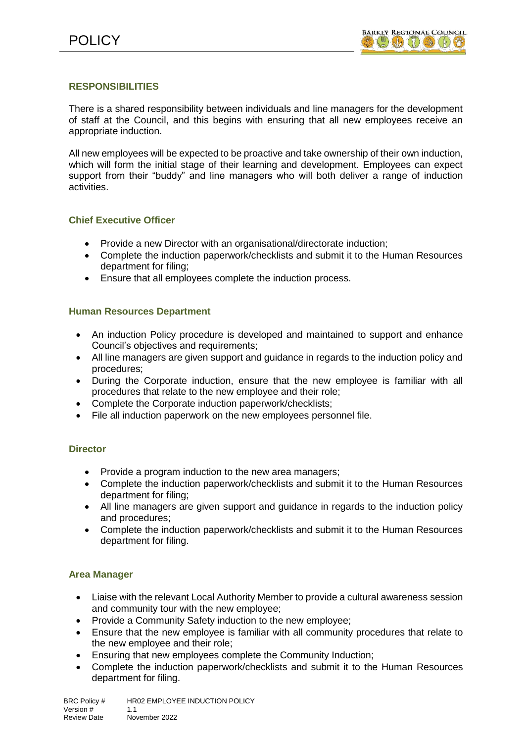## **RESPONSIBILITIES**

There is a shared responsibility between individuals and line managers for the development of staff at the Council, and this begins with ensuring that all new employees receive an appropriate induction.

All new employees will be expected to be proactive and take ownership of their own induction, which will form the initial stage of their learning and development. Employees can expect support from their "buddy" and line managers who will both deliver a range of induction activities.

## **Chief Executive Officer**

- Provide a new Director with an organisational/directorate induction;
- Complete the induction paperwork/checklists and submit it to the Human Resources department for filing;
- Ensure that all employees complete the induction process.

## **Human Resources Department**

- An induction Policy procedure is developed and maintained to support and enhance Council's objectives and requirements;
- All line managers are given support and guidance in regards to the induction policy and procedures;
- During the Corporate induction, ensure that the new employee is familiar with all procedures that relate to the new employee and their role;
- Complete the Corporate induction paperwork/checklists;
- File all induction paperwork on the new employees personnel file.

#### **Director**

- Provide a program induction to the new area managers:
- Complete the induction paperwork/checklists and submit it to the Human Resources department for filing;
- All line managers are given support and guidance in regards to the induction policy and procedures;
- Complete the induction paperwork/checklists and submit it to the Human Resources department for filing.

## **Area Manager**

- Liaise with the relevant Local Authority Member to provide a cultural awareness session and community tour with the new employee;
- Provide a Community Safety induction to the new employee;
- Ensure that the new employee is familiar with all community procedures that relate to the new employee and their role;
- Ensuring that new employees complete the Community Induction;
- Complete the induction paperwork/checklists and submit it to the Human Resources department for filing.